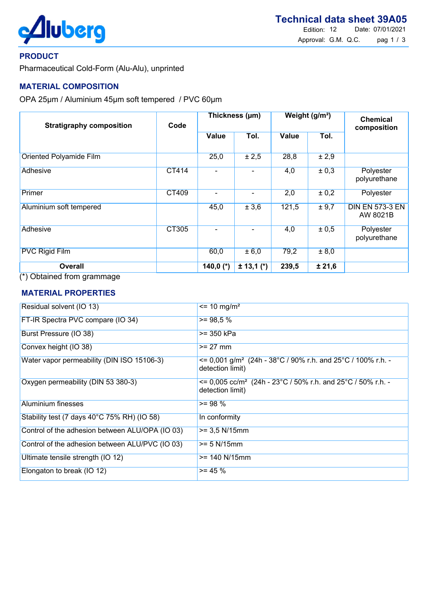

### PRODUCT

Pharmaceutical Cold-Form (Alu-Alu), unprinted

### MATERIAL COMPOSITION

OPA 25µm / Aluminium 45µm soft tempered / PVC 60µm

| <b>Stratigraphy composition</b>                                                                                   | Code         | Thickness (µm) |              | Weight (g/m <sup>2</sup> ) |        | <b>Chemical</b><br>composition     |
|-------------------------------------------------------------------------------------------------------------------|--------------|----------------|--------------|----------------------------|--------|------------------------------------|
|                                                                                                                   |              | <b>Value</b>   | Tol.         | <b>Value</b>               | Tol.   |                                    |
| <b>Oriented Polyamide Film</b>                                                                                    |              | 25,0           | $\pm 2,5$    | 28,8                       | ± 2,9  |                                    |
| <b>Adhesive</b>                                                                                                   | CT414        |                |              | 4,0                        | ± 0,3  | Polyester<br>polyurethane          |
| Primer                                                                                                            | <b>CT409</b> |                | Ξ.           | 2,0                        | ± 0,2  | Polyester                          |
| Aluminium soft tempered                                                                                           |              | 45,0           | ± 3,6        | 121,5                      | ± 9,7  | <b>DIN EN 573-3 EN</b><br>AW 8021B |
| <b>Adhesive</b>                                                                                                   | CT305        |                |              | 4,0                        | ± 0,5  | Polyester<br>polyurethane          |
| <b>PVC Rigid Film</b>                                                                                             |              | 60,0           | ± 6,0        | 79,2                       | ± 8,0  |                                    |
| <b>Overall</b><br>$(4)$ $\bigcap$ $\bigcup$ $\bigcup$ $\bigcup$ $\bigcup$ $\bigcup$ $\bigcap$ $\bigcup$ $\bigcup$ |              | 140,0 $(*)$    | $± 13,1 (*)$ | 239,5                      | ± 21,6 |                                    |

(\*) Obtained from grammage

#### MATERIAL PROPERTIES

| Residual solvent (IO 13)                        | $\epsilon$ = 10 mg/m <sup>2</sup>                                                                     |
|-------------------------------------------------|-------------------------------------------------------------------------------------------------------|
| FT-IR Spectra PVC compare (IO 34)               | $>= 98.5 %$                                                                                           |
| Burst Pressure (IO 38)                          | >= 350 kPa                                                                                            |
| Convex height (IO 38)                           | $>= 27$ mm                                                                                            |
| Water vapor permeability (DIN ISO 15106-3)      | $\epsilon$ = 0,001 g/m <sup>2</sup> (24h - 38°C / 90% r.h. and 25°C / 100% r.h. -<br>detection limit) |
| Oxygen permeability (DIN 53 380-3)              | $\epsilon$ = 0,005 cc/m <sup>2</sup> (24h - 23°C / 50% r.h. and 25°C / 50% r.h. -<br>detection limit) |
| Aluminium finesses                              | $>= 98 \%$                                                                                            |
| Stability test (7 days 40°C 75% RH) (IO 58)     | In conformity                                                                                         |
| Control of the adhesion between ALU/OPA (IO 03) | $>= 3.5$ N/15mm                                                                                       |
| Control of the adhesion between ALU/PVC (IO 03) | $>= 5 N/15mm$                                                                                         |
| Ultimate tensile strength (IO 12)               | $>= 140 N/15mm$                                                                                       |
| Elongaton to break (IO 12)                      | $>= 45 \%$                                                                                            |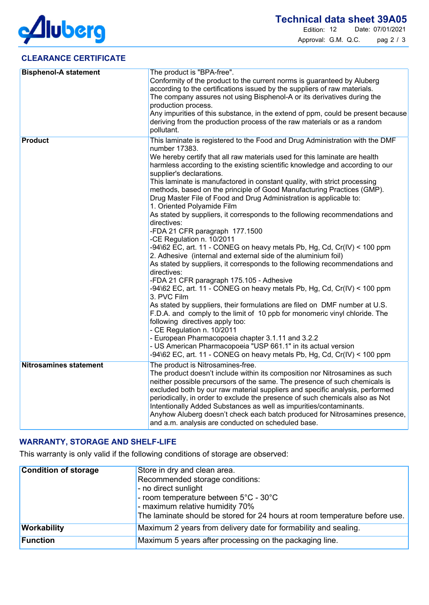

## CLEARANCE CERTIFICATE

| <b>Bisphenol-A statement</b>  | The product is "BPA-free".<br>Conformity of the product to the current norms is guaranteed by Aluberg<br>according to the certifications issued by the suppliers of raw materials.<br>The company assures not using Bisphenol-A or its derivatives during the<br>production process.<br>Any impurities of this substance, in the extend of ppm, could be present because<br>deriving from the production process of the raw materials or as a random<br>pollutant.                                                                                                                                                                                                                                                                                                                                                                                                                                                                                                                                                                                                                                                                                                                                                                                                                                                                                                                                                                                                                                                                   |
|-------------------------------|--------------------------------------------------------------------------------------------------------------------------------------------------------------------------------------------------------------------------------------------------------------------------------------------------------------------------------------------------------------------------------------------------------------------------------------------------------------------------------------------------------------------------------------------------------------------------------------------------------------------------------------------------------------------------------------------------------------------------------------------------------------------------------------------------------------------------------------------------------------------------------------------------------------------------------------------------------------------------------------------------------------------------------------------------------------------------------------------------------------------------------------------------------------------------------------------------------------------------------------------------------------------------------------------------------------------------------------------------------------------------------------------------------------------------------------------------------------------------------------------------------------------------------------|
| <b>Product</b>                | This laminate is registered to the Food and Drug Administration with the DMF<br>number 17383.<br>We hereby certify that all raw materials used for this laminate are health<br>harmless according to the existing scientific knowledge and according to our<br>supplier's declarations.<br>This laminate is manufactored in constant quality, with strict processing<br>methods, based on the principle of Good Manufacturing Practices (GMP).<br>Drug Master File of Food and Drug Administration is applicable to:<br>1. Oriented Polyamide Film<br>As stated by suppliers, it corresponds to the following recommendations and<br>directives:<br>-FDA 21 CFR paragraph 177.1500<br>-CE Regulation n. 10/2011<br>$-94\$ 62 EC, art. 11 - CONEG on heavy metals Pb, Hg, Cd, Cr(IV) < 100 ppm<br>2. Adhesive (internal and external side of the aluminium foil)<br>As stated by suppliers, it corresponds to the following recommendations and<br>directives:<br>-FDA 21 CFR paragraph 175.105 - Adhesive<br>-94\62 EC, art. 11 - CONEG on heavy metals Pb, Hg, Cd, Cr(IV) < 100 ppm<br>3. PVC Film<br>As stated by suppliers, their formulations are filed on DMF number at U.S.<br>F.D.A. and comply to the limit of 10 ppb for monomeric vinyl chloride. The<br>following directives apply too:<br>- CE Regulation n. 10/2011<br>- European Pharmacopoeia chapter 3.1.11 and 3.2.2<br>- US American Pharmacopoeia "USP 661.1" in its actual version<br>$-94\$ 62 EC, art. 11 - CONEG on heavy metals Pb, Hg, Cd, Cr(IV) < 100 ppm |
| <b>Nitrosamines statement</b> | The product is Nitrosamines-free.<br>The product doesn't include within its composition nor Nitrosamines as such<br>neither possible precursors of the same. The presence of such chemicals is<br>excluded both by our raw material suppliers and specific analysis, performed<br>periodically, in order to exclude the presence of such chemicals also as Not<br>Intentionally Added Substances as well as impurities/contaminants.<br>Anyhow Aluberg doesn't check each batch produced for Nitrosamines presence,<br>and a.m. analysis are conducted on scheduled base.                                                                                                                                                                                                                                                                                                                                                                                                                                                                                                                                                                                                                                                                                                                                                                                                                                                                                                                                                            |

# WARRANTY, STORAGE AND SHELF-LIFE

This warranty is only valid if the following conditions of storage are observed:

| <b>Condition of storage</b> | Store in dry and clean area.<br>Recommended storage conditions:<br>- no direct sunlight<br>- room temperature between 5°C - 30°C<br>- maximum relative humidity 70%<br>The laminate should be stored for 24 hours at room temperature before use. |
|-----------------------------|---------------------------------------------------------------------------------------------------------------------------------------------------------------------------------------------------------------------------------------------------|
| Workability                 | Maximum 2 years from delivery date for formability and sealing.                                                                                                                                                                                   |
| Function                    | Maximum 5 years after processing on the packaging line.                                                                                                                                                                                           |